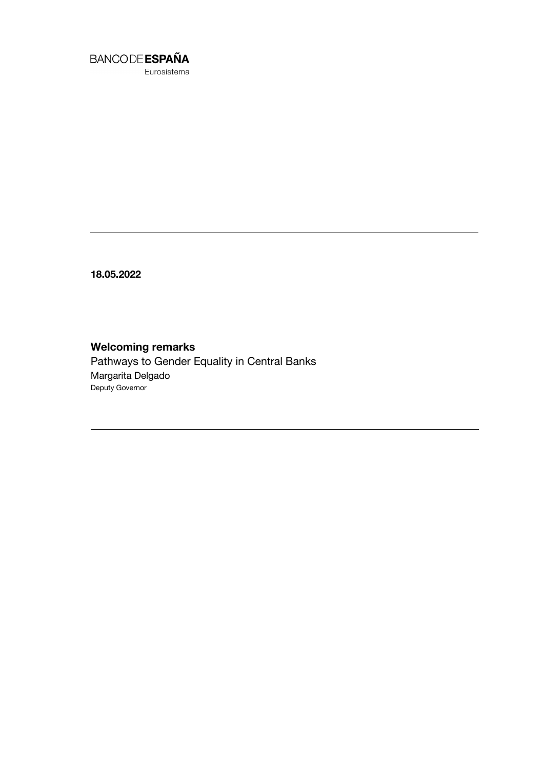

Eurosistema

18.05.2022

## Welcoming remarks

Pathways to Gender Equality in Central Banks Margarita Delgado Deputy Governor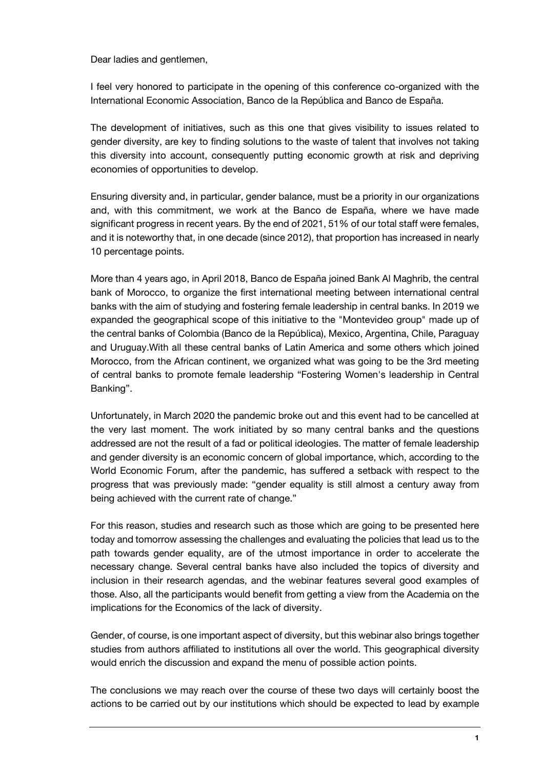Dear ladies and gentlemen,

I feel very honored to participate in the opening of this conference co-organized with the International Economic Association, Banco de la República and Banco de España.

The development of initiatives, such as this one that gives visibility to issues related to gender diversity, are key to finding solutions to the waste of talent that involves not taking this diversity into account, consequently putting economic growth at risk and depriving economies of opportunities to develop.

Ensuring diversity and, in particular, gender balance, must be a priority in our organizations and, with this commitment, we work at the Banco de España, where we have made significant progress in recent years. By the end of 2021, 51% of our total staff were females, and it is noteworthy that, in one decade (since 2012), that proportion has increased in nearly 10 percentage points.

More than 4 years ago, in April 2018, Banco de España joined Bank Al Maghrib, the central bank of Morocco, to organize the first international meeting between international central banks with the aim of studying and fostering female leadership in central banks. In 2019 we expanded the geographical scope of this initiative to the "Montevideo group" made up of the central banks of Colombia (Banco de la República), Mexico, Argentina, Chile, Paraguay and Uruguay.With all these central banks of Latin America and some others which joined Morocco, from the African continent, we organized what was going to be the 3rd meeting of central banks to promote female leadership "Fostering Women's leadership in Central Banking".

Unfortunately, in March 2020 the pandemic broke out and this event had to be cancelled at the very last moment. The work initiated by so many central banks and the questions addressed are not the result of a fad or political ideologies. The matter of female leadership and gender diversity is an economic concern of global importance, which, according to the World Economic Forum, after the pandemic, has suffered a setback with respect to the progress that was previously made: "gender equality is still almost a century away from being achieved with the current rate of change."

For this reason, studies and research such as those which are going to be presented here today and tomorrow assessing the challenges and evaluating the policies that lead us to the path towards gender equality, are of the utmost importance in order to accelerate the necessary change. Several central banks have also included the topics of diversity and inclusion in their research agendas, and the webinar features several good examples of those. Also, all the participants would benefit from getting a view from the Academia on the implications for the Economics of the lack of diversity.

Gender, of course, is one important aspect of diversity, but this webinar also brings together studies from authors affiliated to institutions all over the world. This geographical diversity would enrich the discussion and expand the menu of possible action points.

The conclusions we may reach over the course of these two days will certainly boost the actions to be carried out by our institutions which should be expected to lead by example